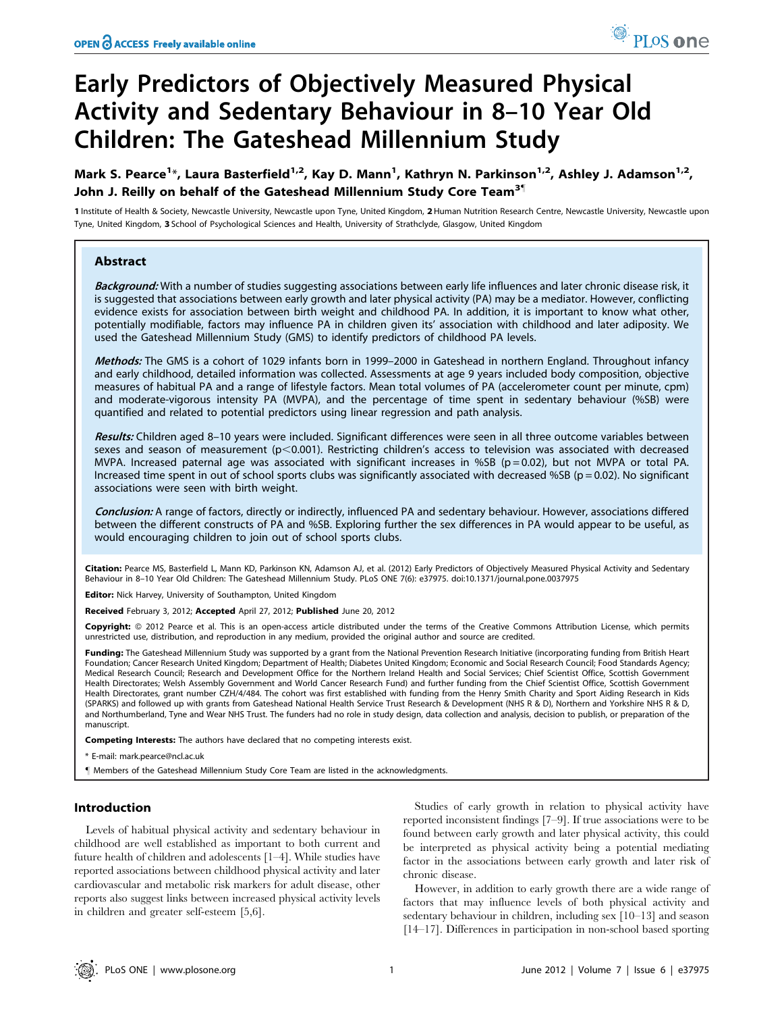# Early Predictors of Objectively Measured Physical Activity and Sedentary Behaviour in 8–10 Year Old Children: The Gateshead Millennium Study

Mark S. Pearce<sup>1</sup>\*, Laura Basterfield<sup>1,2</sup>, Kay D. Mann<sup>1</sup>, Kathryn N. Parkinson<sup>1,2</sup>, Ashley J. Adamson<sup>1,2</sup>, John J. Reilly on behalf of the Gateshead Millennium Study Core Team<sup>3</sup>

1 Institute of Health & Society, Newcastle University, Newcastle upon Tyne, United Kingdom, 2Human Nutrition Research Centre, Newcastle University, Newcastle upon Tyne, United Kingdom, 3 School of Psychological Sciences and Health, University of Strathclyde, Glasgow, United Kingdom

# Abstract

Background: With a number of studies suggesting associations between early life influences and later chronic disease risk, it is suggested that associations between early growth and later physical activity (PA) may be a mediator. However, conflicting evidence exists for association between birth weight and childhood PA. In addition, it is important to know what other, potentially modifiable, factors may influence PA in children given its' association with childhood and later adiposity. We used the Gateshead Millennium Study (GMS) to identify predictors of childhood PA levels.

Methods: The GMS is a cohort of 1029 infants born in 1999–2000 in Gateshead in northern England. Throughout infancy and early childhood, detailed information was collected. Assessments at age 9 years included body composition, objective measures of habitual PA and a range of lifestyle factors. Mean total volumes of PA (accelerometer count per minute, cpm) and moderate-vigorous intensity PA (MVPA), and the percentage of time spent in sedentary behaviour (%SB) were quantified and related to potential predictors using linear regression and path analysis.

Results: Children aged 8-10 years were included. Significant differences were seen in all three outcome variables between sexes and season of measurement ( $p<0.001$ ). Restricting children's access to television was associated with decreased MVPA. Increased paternal age was associated with significant increases in %SB (p = 0.02), but not MVPA or total PA. Increased time spent in out of school sports clubs was significantly associated with decreased %SB ( $p = 0.02$ ). No significant associations were seen with birth weight.

Conclusion: A range of factors, directly or indirectly, influenced PA and sedentary behaviour. However, associations differed between the different constructs of PA and %SB. Exploring further the sex differences in PA would appear to be useful, as would encouraging children to join out of school sports clubs.

Citation: Pearce MS, Basterfield L, Mann KD, Parkinson KN, Adamson AJ, et al. (2012) Early Predictors of Objectively Measured Physical Activity and Sedentary Behaviour in 8–10 Year Old Children: The Gateshead Millennium Study. PLoS ONE 7(6): e37975. doi:10.1371/journal.pone.0037975

Editor: Nick Harvey, University of Southampton, United Kingdom

Received February 3, 2012; Accepted April 27, 2012; Published June 20, 2012

**Copyright:** © 2012 Pearce et al. This is an open-access article distributed under the terms of the Creative Commons Attribution License, which permits unrestricted use, distribution, and reproduction in any medium, provided the original author and source are credited.

Funding: The Gateshead Millennium Study was supported by a grant from the National Prevention Research Initiative (incorporating funding from British Heart Foundation; Cancer Research United Kingdom; Department of Health; Diabetes United Kingdom; Economic and Social Research Council; Food Standards Agency; Medical Research Council; Research and Development Office for the Northern Ireland Health and Social Services; Chief Scientist Office, Scottish Government Health Directorates; Welsh Assembly Government and World Cancer Research Fund) and further funding from the Chief Scientist Office, Scottish Government Health Directorates, grant number CZH/4/484. The cohort was first established with funding from the Henry Smith Charity and Sport Aiding Research in Kids (SPARKS) and followed up with grants from Gateshead National Health Service Trust Research & Development (NHS R & D), Northern and Yorkshire NHS R & D, and Northumberland, Tyne and Wear NHS Trust. The funders had no role in study design, data collection and analysis, decision to publish, or preparation of the manuscript.

Competing Interests: The authors have declared that no competing interests exist.

\* E-mail: mark.pearce@ncl.ac.uk

" Members of the Gateshead Millennium Study Core Team are listed in the acknowledgments.

# Introduction

Levels of habitual physical activity and sedentary behaviour in childhood are well established as important to both current and future health of children and adolescents [1–4]. While studies have reported associations between childhood physical activity and later cardiovascular and metabolic risk markers for adult disease, other reports also suggest links between increased physical activity levels in children and greater self-esteem [5,6].

Studies of early growth in relation to physical activity have reported inconsistent findings [7–9]. If true associations were to be found between early growth and later physical activity, this could be interpreted as physical activity being a potential mediating factor in the associations between early growth and later risk of chronic disease.

However, in addition to early growth there are a wide range of factors that may influence levels of both physical activity and sedentary behaviour in children, including sex [10–13] and season [14–17]. Differences in participation in non-school based sporting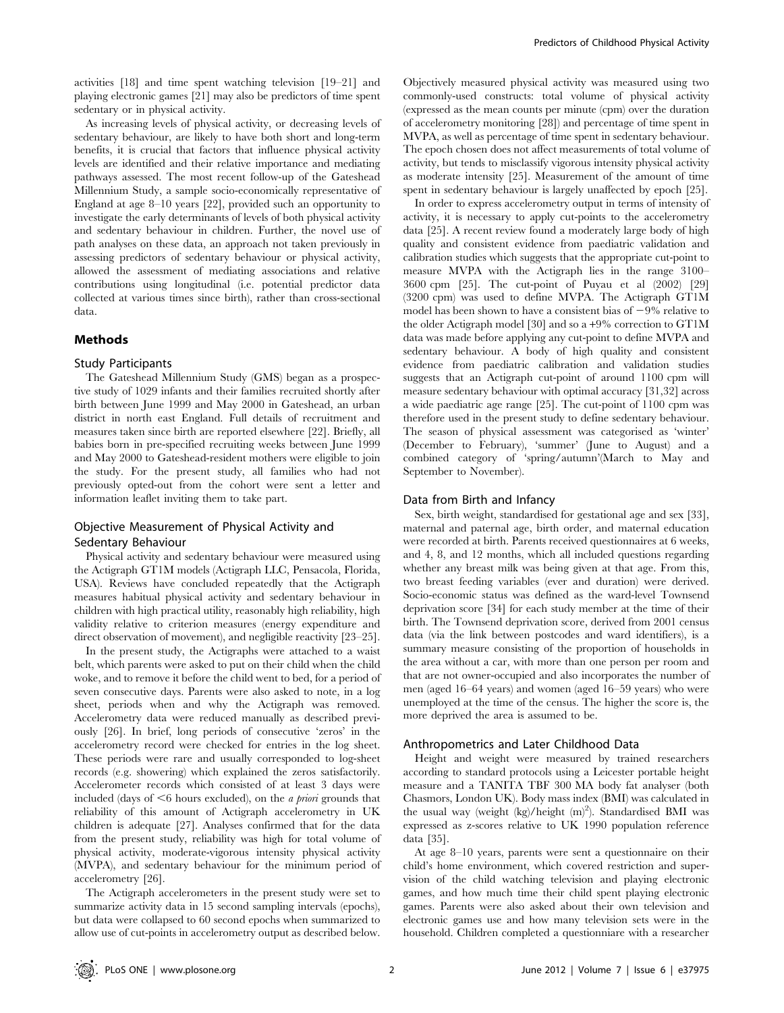activities [18] and time spent watching television [19–21] and playing electronic games [21] may also be predictors of time spent sedentary or in physical activity.

As increasing levels of physical activity, or decreasing levels of sedentary behaviour, are likely to have both short and long-term benefits, it is crucial that factors that influence physical activity levels are identified and their relative importance and mediating pathways assessed. The most recent follow-up of the Gateshead Millennium Study, a sample socio-economically representative of England at age 8–10 years [22], provided such an opportunity to investigate the early determinants of levels of both physical activity and sedentary behaviour in children. Further, the novel use of path analyses on these data, an approach not taken previously in assessing predictors of sedentary behaviour or physical activity, allowed the assessment of mediating associations and relative contributions using longitudinal (i.e. potential predictor data collected at various times since birth), rather than cross-sectional data.

# Methods

# Study Participants

The Gateshead Millennium Study (GMS) began as a prospective study of 1029 infants and their families recruited shortly after birth between June 1999 and May 2000 in Gateshead, an urban district in north east England. Full details of recruitment and measures taken since birth are reported elsewhere [22]. Briefly, all babies born in pre-specified recruiting weeks between June 1999 and May 2000 to Gateshead-resident mothers were eligible to join the study. For the present study, all families who had not previously opted-out from the cohort were sent a letter and information leaflet inviting them to take part.

# Objective Measurement of Physical Activity and Sedentary Behaviour

Physical activity and sedentary behaviour were measured using the Actigraph GT1M models (Actigraph LLC, Pensacola, Florida, USA). Reviews have concluded repeatedly that the Actigraph measures habitual physical activity and sedentary behaviour in children with high practical utility, reasonably high reliability, high validity relative to criterion measures (energy expenditure and direct observation of movement), and negligible reactivity [23–25].

In the present study, the Actigraphs were attached to a waist belt, which parents were asked to put on their child when the child woke, and to remove it before the child went to bed, for a period of seven consecutive days. Parents were also asked to note, in a log sheet, periods when and why the Actigraph was removed. Accelerometry data were reduced manually as described previously [26]. In brief, long periods of consecutive 'zeros' in the accelerometry record were checked for entries in the log sheet. These periods were rare and usually corresponded to log-sheet records (e.g. showering) which explained the zeros satisfactorily. Accelerometer records which consisted of at least 3 days were included (days of  $\leq 6$  hours excluded), on the *a priori* grounds that reliability of this amount of Actigraph accelerometry in UK children is adequate [27]. Analyses confirmed that for the data from the present study, reliability was high for total volume of physical activity, moderate-vigorous intensity physical activity (MVPA), and sedentary behaviour for the minimum period of accelerometry [26].

The Actigraph accelerometers in the present study were set to summarize activity data in 15 second sampling intervals (epochs), but data were collapsed to 60 second epochs when summarized to allow use of cut-points in accelerometry output as described below.

Objectively measured physical activity was measured using two commonly-used constructs: total volume of physical activity (expressed as the mean counts per minute (cpm) over the duration of accelerometry monitoring [28]) and percentage of time spent in MVPA, as well as percentage of time spent in sedentary behaviour. The epoch chosen does not affect measurements of total volume of activity, but tends to misclassify vigorous intensity physical activity as moderate intensity [25]. Measurement of the amount of time spent in sedentary behaviour is largely unaffected by epoch [25].

In order to express accelerometry output in terms of intensity of activity, it is necessary to apply cut-points to the accelerometry data [25]. A recent review found a moderately large body of high quality and consistent evidence from paediatric validation and calibration studies which suggests that the appropriate cut-point to measure MVPA with the Actigraph lies in the range 3100– 3600 cpm [25]. The cut-point of Puyau et al (2002) [29] (3200 cpm) was used to define MVPA. The Actigraph GT1M model has been shown to have a consistent bias of  $-9\%$  relative to the older Actigraph model [30] and so a +9% correction to GT1M data was made before applying any cut-point to define MVPA and sedentary behaviour. A body of high quality and consistent evidence from paediatric calibration and validation studies suggests that an Actigraph cut-point of around 1100 cpm will measure sedentary behaviour with optimal accuracy [31,32] across a wide paediatric age range [25]. The cut-point of 1100 cpm was therefore used in the present study to define sedentary behaviour. The season of physical assessment was categorised as 'winter' (December to February), 'summer' (June to August) and a combined category of 'spring/autumn'(March to May and September to November).

# Data from Birth and Infancy

Sex, birth weight, standardised for gestational age and sex [33], maternal and paternal age, birth order, and maternal education were recorded at birth. Parents received questionnaires at 6 weeks, and 4, 8, and 12 months, which all included questions regarding whether any breast milk was being given at that age. From this, two breast feeding variables (ever and duration) were derived. Socio-economic status was defined as the ward-level Townsend deprivation score [34] for each study member at the time of their birth. The Townsend deprivation score, derived from 2001 census data (via the link between postcodes and ward identifiers), is a summary measure consisting of the proportion of households in the area without a car, with more than one person per room and that are not owner-occupied and also incorporates the number of men (aged 16–64 years) and women (aged 16–59 years) who were unemployed at the time of the census. The higher the score is, the more deprived the area is assumed to be.

# Anthropometrics and Later Childhood Data

Height and weight were measured by trained researchers according to standard protocols using a Leicester portable height measure and a TANITA TBF 300 MA body fat analyser (both Chasmors, London UK). Body mass index (BMI) was calculated in the usual way (weight (kg)/height (m)<sup>2</sup>). Standardised BMI was expressed as z-scores relative to UK 1990 population reference data [35].

At age 8–10 years, parents were sent a questionnaire on their child's home environment, which covered restriction and supervision of the child watching television and playing electronic games, and how much time their child spent playing electronic games. Parents were also asked about their own television and electronic games use and how many television sets were in the household. Children completed a questionniare with a researcher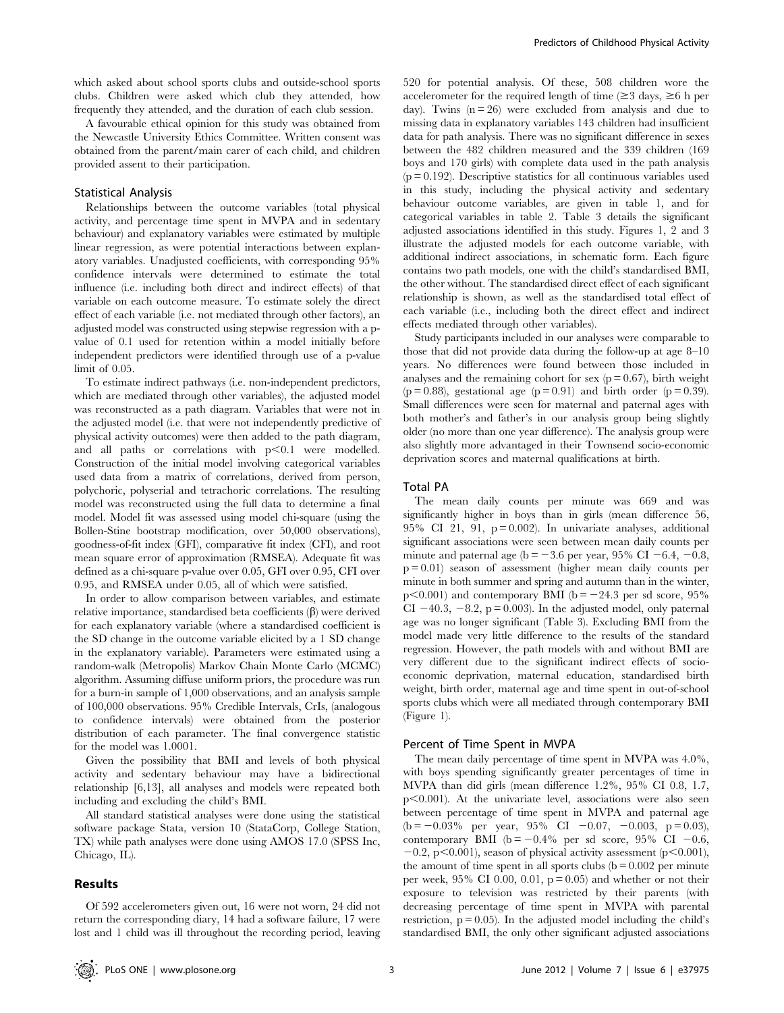which asked about school sports clubs and outside-school sports clubs. Children were asked which club they attended, how frequently they attended, and the duration of each club session.

A favourable ethical opinion for this study was obtained from the Newcastle University Ethics Committee. Written consent was obtained from the parent/main carer of each child, and children provided assent to their participation.

# Statistical Analysis

Relationships between the outcome variables (total physical activity, and percentage time spent in MVPA and in sedentary behaviour) and explanatory variables were estimated by multiple linear regression, as were potential interactions between explanatory variables. Unadjusted coefficients, with corresponding 95% confidence intervals were determined to estimate the total influence (i.e. including both direct and indirect effects) of that variable on each outcome measure. To estimate solely the direct effect of each variable (i.e. not mediated through other factors), an adjusted model was constructed using stepwise regression with a pvalue of 0.1 used for retention within a model initially before independent predictors were identified through use of a p-value limit of 0.05.

To estimate indirect pathways (i.e. non-independent predictors, which are mediated through other variables), the adjusted model was reconstructed as a path diagram. Variables that were not in the adjusted model (i.e. that were not independently predictive of physical activity outcomes) were then added to the path diagram, and all paths or correlations with  $p<0.1$  were modelled. Construction of the initial model involving categorical variables used data from a matrix of correlations, derived from person, polychoric, polyserial and tetrachoric correlations. The resulting model was reconstructed using the full data to determine a final model. Model fit was assessed using model chi-square (using the Bollen-Stine bootstrap modification, over 50,000 observations), goodness-of-fit index (GFI), comparative fit index (CFI), and root mean square error of approximation (RMSEA). Adequate fit was defined as a chi-square p-value over 0.05, GFI over 0.95, CFI over 0.95, and RMSEA under 0.05, all of which were satisfied.

In order to allow comparison between variables, and estimate relative importance, standardised beta coefficients  $(\beta)$  were derived for each explanatory variable (where a standardised coefficient is the SD change in the outcome variable elicited by a 1 SD change in the explanatory variable). Parameters were estimated using a random-walk (Metropolis) Markov Chain Monte Carlo (MCMC) algorithm. Assuming diffuse uniform priors, the procedure was run for a burn-in sample of 1,000 observations, and an analysis sample of 100,000 observations. 95% Credible Intervals, CrIs, (analogous to confidence intervals) were obtained from the posterior distribution of each parameter. The final convergence statistic for the model was 1.0001.

Given the possibility that BMI and levels of both physical activity and sedentary behaviour may have a bidirectional relationship [6,13], all analyses and models were repeated both including and excluding the child's BMI.

All standard statistical analyses were done using the statistical software package Stata, version 10 (StataCorp, College Station, TX) while path analyses were done using AMOS 17.0 (SPSS Inc, Chicago, IL).

# Results

520 for potential analysis. Of these, 508 children wore the accelerometer for the required length of time ( $\geq 3$  days,  $\geq 6$  h per day). Twins  $(n = 26)$  were excluded from analysis and due to missing data in explanatory variables 143 children had insufficient data for path analysis. There was no significant difference in sexes between the 482 children measured and the 339 children (169 boys and 170 girls) with complete data used in the path analysis  $(p = 0.192)$ . Descriptive statistics for all continuous variables used in this study, including the physical activity and sedentary behaviour outcome variables, are given in table 1, and for categorical variables in table 2. Table 3 details the significant adjusted associations identified in this study. Figures 1, 2 and 3 illustrate the adjusted models for each outcome variable, with additional indirect associations, in schematic form. Each figure contains two path models, one with the child's standardised BMI, the other without. The standardised direct effect of each significant relationship is shown, as well as the standardised total effect of each variable (i.e., including both the direct effect and indirect effects mediated through other variables).

Study participants included in our analyses were comparable to those that did not provide data during the follow-up at age 8–10 years. No differences were found between those included in analyses and the remaining cohort for sex  $(p = 0.67)$ , birth weight  $(p = 0.88)$ , gestational age  $(p = 0.91)$  and birth order  $(p = 0.39)$ . Small differences were seen for maternal and paternal ages with both mother's and father's in our analysis group being slightly older (no more than one year difference). The analysis group were also slightly more advantaged in their Townsend socio-economic deprivation scores and maternal qualifications at birth.

#### Total PA

The mean daily counts per minute was 669 and was significantly higher in boys than in girls (mean difference 56, 95% CI 21, 91,  $p = 0.002$ ). In univariate analyses, additional significant associations were seen between mean daily counts per minute and paternal age ( $b = -3.6$  per year, 95% CI  $-6.4$ ,  $-0.8$ ,  $p = 0.01$ ) season of assessment (higher mean daily counts per minute in both summer and spring and autumn than in the winter,  $p<0.001$ ) and contemporary BMI (b = -24.3 per sd score, 95% CI  $-40.3$ ,  $-8.2$ , p = 0.003). In the adjusted model, only paternal age was no longer significant (Table 3). Excluding BMI from the model made very little difference to the results of the standard regression. However, the path models with and without BMI are very different due to the significant indirect effects of socioeconomic deprivation, maternal education, standardised birth weight, birth order, maternal age and time spent in out-of-school sports clubs which were all mediated through contemporary BMI (Figure 1).

#### Percent of Time Spent in MVPA

The mean daily percentage of time spent in MVPA was 4.0%, with boys spending significantly greater percentages of time in MVPA than did girls (mean difference 1.2%, 95% CI 0.8, 1.7,  $p<0.001$ ). At the univariate level, associations were also seen between percentage of time spent in MVPA and paternal age  $(b = -0.03\%$  per year, 95% CI -0.07, -0.003, p = 0.03), contemporary BMI ( $b = -0.4\%$  per sd score, 95% CI -0.6,  $-0.2$ , p $\leq 0.001$ ), season of physical activity assessment (p $\leq 0.001$ ), the amount of time spent in all sports clubs  $(b = 0.002$  per minute per week,  $95\%$  CI 0.00, 0.01,  $p = 0.05$ ) and whether or not their exposure to television was restricted by their parents (with decreasing percentage of time spent in MVPA with parental restriction,  $p = 0.05$ ). In the adjusted model including the child's standardised BMI, the only other significant adjusted associations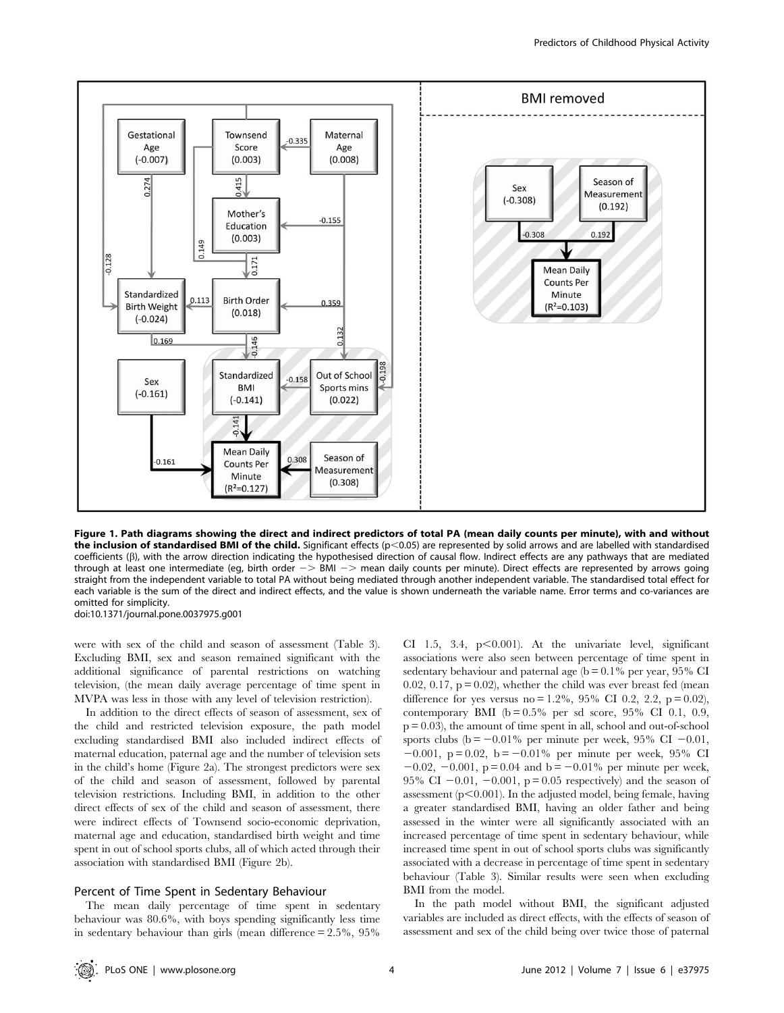

Figure 1. Path diagrams showing the direct and indirect predictors of total PA (mean daily counts per minute), with and without the inclusion of standardised BMI of the child. Significant effects (p<0.05) are represented by solid arrows and are labelled with standardised coefficients (B), with the arrow direction indicating the hypothesised direction of causal flow. Indirect effects are any pathways that are mediated through at least one intermediate (eg, birth order  $>$  BMI  $-$  mean daily counts per minute). Direct effects are represented by arrows going straight from the independent variable to total PA without being mediated through another independent variable. The standardised total effect for each variable is the sum of the direct and indirect effects, and the value is shown underneath the variable name. Error terms and co-variances are omitted for simplicity.

doi:10.1371/journal.pone.0037975.g001

were with sex of the child and season of assessment (Table 3). Excluding BMI, sex and season remained significant with the additional significance of parental restrictions on watching television, (the mean daily average percentage of time spent in MVPA was less in those with any level of television restriction).

In addition to the direct effects of season of assessment, sex of the child and restricted television exposure, the path model excluding standardised BMI also included indirect effects of maternal education, paternal age and the number of television sets in the child's home (Figure 2a). The strongest predictors were sex of the child and season of assessment, followed by parental television restrictions. Including BMI, in addition to the other direct effects of sex of the child and season of assessment, there were indirect effects of Townsend socio-economic deprivation, maternal age and education, standardised birth weight and time spent in out of school sports clubs, all of which acted through their association with standardised BMI (Figure 2b).

#### Percent of Time Spent in Sedentary Behaviour

The mean daily percentage of time spent in sedentary behaviour was 80.6%, with boys spending significantly less time in sedentary behaviour than girls (mean difference  $= 2.5\%$ ,  $95\%$  CI 1.5, 3.4,  $p<0.001$ ). At the univariate level, significant associations were also seen between percentage of time spent in sedentary behaviour and paternal age  $(b = 0.1\%$  per year, 95% CI 0.02, 0.17,  $p = 0.02$ ), whether the child was ever breast fed (mean difference for yes versus no = 1.2%, 95% CI 0.2, 2.2, p = 0.02), contemporary BMI ( $b = 0.5\%$  per sd score, 95% CI 0.1, 0.9, p = 0.03), the amount of time spent in all, school and out-of-school sports clubs ( $b = -0.01\%$  per minute per week, 95% CI -0.01,  $-0.001$ , p = 0.02, b =  $-0.01\%$  per minute per week, 95% CI  $-0.02, -0.001, p = 0.04$  and  $b = -0.01\%$  per minute per week, 95% CI  $-0.01$ ,  $-0.001$ ,  $p = 0.05$  respectively) and the season of assessment ( $p<0.001$ ). In the adjusted model, being female, having a greater standardised BMI, having an older father and being assessed in the winter were all significantly associated with an increased percentage of time spent in sedentary behaviour, while increased time spent in out of school sports clubs was significantly associated with a decrease in percentage of time spent in sedentary behaviour (Table 3). Similar results were seen when excluding BMI from the model.

In the path model without BMI, the significant adjusted variables are included as direct effects, with the effects of season of assessment and sex of the child being over twice those of paternal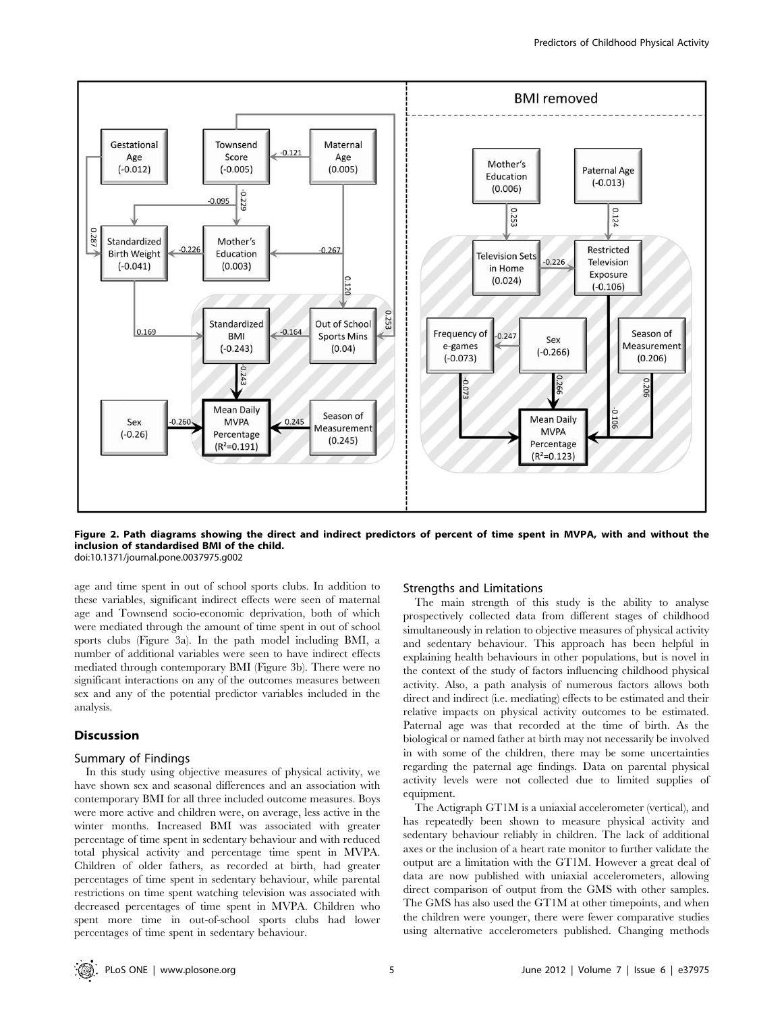

Figure 2. Path diagrams showing the direct and indirect predictors of percent of time spent in MVPA, with and without the inclusion of standardised BMI of the child. doi:10.1371/journal.pone.0037975.g002

age and time spent in out of school sports clubs. In addition to these variables, significant indirect effects were seen of maternal age and Townsend socio-economic deprivation, both of which were mediated through the amount of time spent in out of school sports clubs (Figure 3a). In the path model including BMI, a number of additional variables were seen to have indirect effects mediated through contemporary BMI (Figure 3b). There were no significant interactions on any of the outcomes measures between sex and any of the potential predictor variables included in the analysis.

# Discussion

# Summary of Findings

In this study using objective measures of physical activity, we have shown sex and seasonal differences and an association with contemporary BMI for all three included outcome measures. Boys were more active and children were, on average, less active in the winter months. Increased BMI was associated with greater percentage of time spent in sedentary behaviour and with reduced total physical activity and percentage time spent in MVPA. Children of older fathers, as recorded at birth, had greater percentages of time spent in sedentary behaviour, while parental restrictions on time spent watching television was associated with decreased percentages of time spent in MVPA. Children who spent more time in out-of-school sports clubs had lower percentages of time spent in sedentary behaviour.

## Strengths and Limitations

The main strength of this study is the ability to analyse prospectively collected data from different stages of childhood simultaneously in relation to objective measures of physical activity and sedentary behaviour. This approach has been helpful in explaining health behaviours in other populations, but is novel in the context of the study of factors influencing childhood physical activity. Also, a path analysis of numerous factors allows both direct and indirect (i.e. mediating) effects to be estimated and their relative impacts on physical activity outcomes to be estimated. Paternal age was that recorded at the time of birth. As the biological or named father at birth may not necessarily be involved in with some of the children, there may be some uncertainties regarding the paternal age findings. Data on parental physical activity levels were not collected due to limited supplies of equipment.

The Actigraph GT1M is a uniaxial accelerometer (vertical), and has repeatedly been shown to measure physical activity and sedentary behaviour reliably in children. The lack of additional axes or the inclusion of a heart rate monitor to further validate the output are a limitation with the GT1M. However a great deal of data are now published with uniaxial accelerometers, allowing direct comparison of output from the GMS with other samples. The GMS has also used the GT1M at other timepoints, and when the children were younger, there were fewer comparative studies using alternative accelerometers published. Changing methods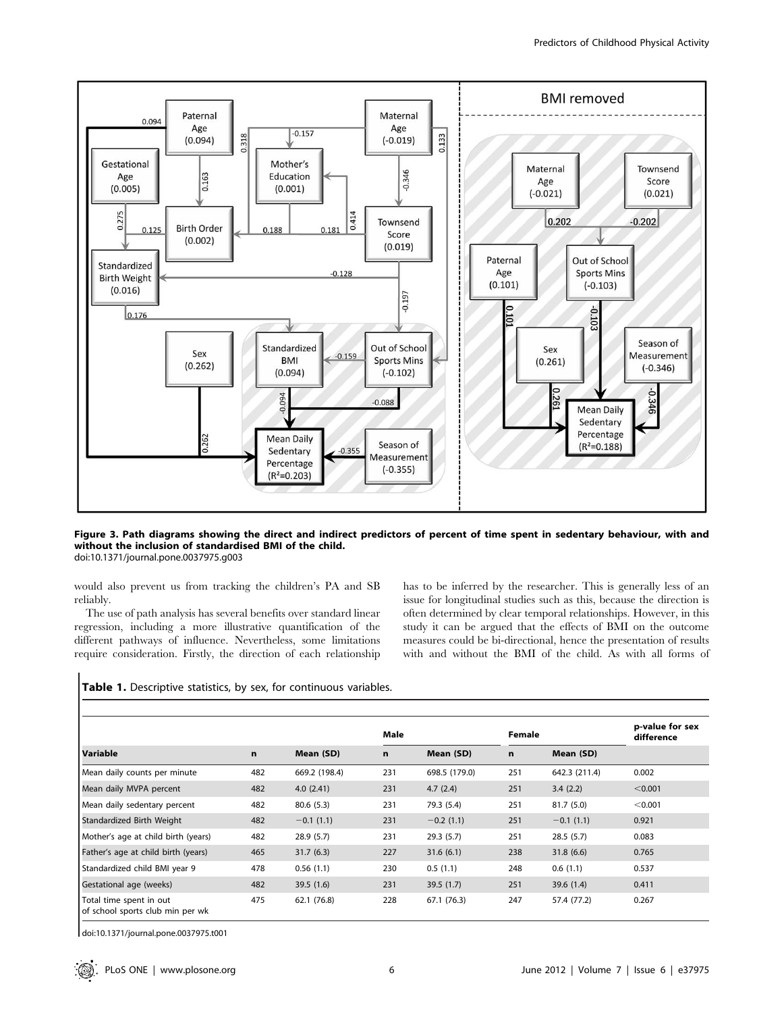

Figure 3. Path diagrams showing the direct and indirect predictors of percent of time spent in sedentary behaviour, with and without the inclusion of standardised BMI of the child. doi:10.1371/journal.pone.0037975.g003

would also prevent us from tracking the children's PA and SB reliably.

The use of path analysis has several benefits over standard linear regression, including a more illustrative quantification of the different pathways of influence. Nevertheless, some limitations require consideration. Firstly, the direction of each relationship has to be inferred by the researcher. This is generally less of an issue for longitudinal studies such as this, because the direction is often determined by clear temporal relationships. However, in this study it can be argued that the effects of BMI on the outcome measures could be bi-directional, hence the presentation of results with and without the BMI of the child. As with all forms of

Table 1. Descriptive statistics, by sex, for continuous variables.

|                                                             |     |               |      |               |        |               | p-value for sex |  |
|-------------------------------------------------------------|-----|---------------|------|---------------|--------|---------------|-----------------|--|
|                                                             |     |               | Male |               | Female |               | difference      |  |
| Variable                                                    | n   | Mean (SD)     | n    | Mean (SD)     | n      | Mean (SD)     |                 |  |
| Mean daily counts per minute                                | 482 | 669.2 (198.4) | 231  | 698.5 (179.0) | 251    | 642.3 (211.4) | 0.002           |  |
| Mean daily MVPA percent                                     | 482 | 4.0(2.41)     | 231  | 4.7(2.4)      | 251    | 3.4(2.2)      | < 0.001         |  |
| Mean daily sedentary percent                                | 482 | 80.6(5.3)     | 231  | 79.3 (5.4)    | 251    | 81.7(5.0)     | < 0.001         |  |
| Standardized Birth Weight                                   | 482 | $-0.1(1.1)$   | 231  | $-0.2(1.1)$   | 251    | $-0.1(1.1)$   | 0.921           |  |
| Mother's age at child birth (years)                         | 482 | 28.9(5.7)     | 231  | 29.3(5.7)     | 251    | 28.5(5.7)     | 0.083           |  |
| Father's age at child birth (years)                         | 465 | 31.7(6.3)     | 227  | 31.6(6.1)     | 238    | 31.8(6.6)     | 0.765           |  |
| Standardized child BMI year 9                               | 478 | 0.56(1.1)     | 230  | 0.5(1.1)      | 248    | 0.6(1.1)      | 0.537           |  |
| Gestational age (weeks)                                     | 482 | 39.5(1.6)     | 231  | 39.5(1.7)     | 251    | 39.6(1.4)     | 0.411           |  |
| Total time spent in out<br>of school sports club min per wk | 475 | 62.1 (76.8)   | 228  | 67.1 (76.3)   | 247    | 57.4 (77.2)   | 0.267           |  |

doi:10.1371/journal.pone.0037975.t001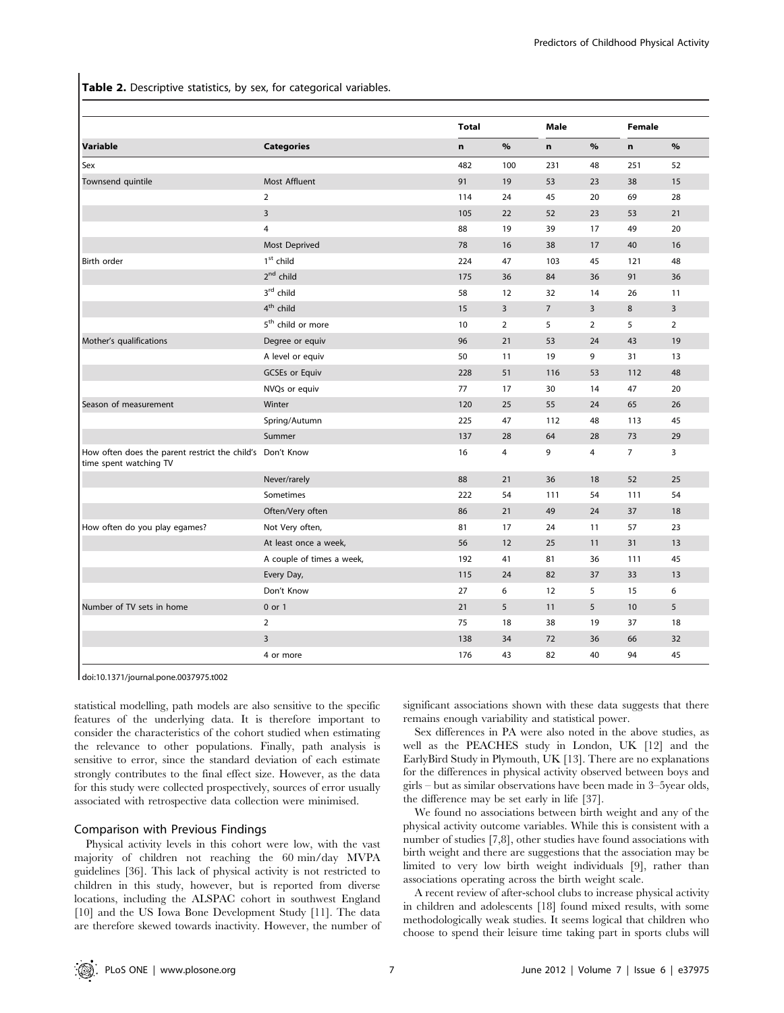Table 2. Descriptive statistics, by sex, for categorical variables.

|                                                                                     |                               | <b>Total</b> |                |                | Male           |                | Female         |  |
|-------------------------------------------------------------------------------------|-------------------------------|--------------|----------------|----------------|----------------|----------------|----------------|--|
| Variable                                                                            | <b>Categories</b>             | $\mathbf n$  | $\%$           | n              | $\%$           | n              | $\%$           |  |
| Sex                                                                                 |                               | 482          | 100            | 231            | 48             | 251            | 52             |  |
| Townsend quintile                                                                   | Most Affluent                 | 91           | 19             | 53             | 23             | 38             | 15             |  |
|                                                                                     | $\overline{2}$                | 114          | 24             | 45             | 20             | 69             | 28             |  |
|                                                                                     | 3                             | 105          | 22             | 52             | 23             | 53             | 21             |  |
|                                                                                     | 4                             | 88           | 19             | 39             | 17             | 49             | 20             |  |
|                                                                                     | <b>Most Deprived</b>          | 78           | 16             | 38             | 17             | 40             | 16             |  |
| Birth order                                                                         | $1st$ child                   | 224          | 47             | 103            | 45             | 121            | 48             |  |
|                                                                                     | $2nd$ child                   | 175          | 36             | 84             | 36             | 91             | 36             |  |
|                                                                                     | 3rd child                     | 58           | 12             | 32             | 14             | 26             | 11             |  |
|                                                                                     | $4th$ child                   | 15           | $\overline{3}$ | $\overline{7}$ | $\overline{3}$ | 8              | 3              |  |
|                                                                                     | 5 <sup>th</sup> child or more | 10           | $\overline{2}$ | 5              | $\overline{2}$ | 5              | $\overline{2}$ |  |
| Mother's qualifications                                                             | Degree or equiv               | 96           | 21             | 53             | 24             | 43             | 19             |  |
|                                                                                     | A level or equiv              | 50           | 11             | 19             | 9              | 31             | 13             |  |
|                                                                                     | <b>GCSEs or Equiv</b>         | 228          | 51             | 116            | 53             | 112            | 48             |  |
|                                                                                     | NVQs or equiv                 | 77           | 17             | 30             | 14             | 47             | 20             |  |
| Season of measurement                                                               | Winter                        | 120          | 25             | 55             | 24             | 65             | 26             |  |
|                                                                                     | Spring/Autumn                 | 225          |                | 112            | 48             | 113            | 45             |  |
|                                                                                     | Summer                        | 137          | 28             | 64             | 28             | 73             | 29             |  |
| How often does the parent restrict the child's Don't Know<br>time spent watching TV |                               | 16           | 4              | 9              | 4              | $\overline{7}$ | 3              |  |
|                                                                                     | Never/rarely                  | 88           | 21             | 36             | 18             | 52             | 25             |  |
|                                                                                     | Sometimes                     | 222          | 54             | 111            | 54             | 111            | 54             |  |
|                                                                                     | Often/Very often              | 86           | 21             | 49             | 24             | 37             | 18             |  |
| How often do you play egames?                                                       | Not Very often,               | 81           | 17             | 24             | 11             | 57             | 23             |  |
|                                                                                     | At least once a week,         | 56           | 12             | 25             | 11             | 31             | 13             |  |
|                                                                                     | A couple of times a week,     | 192          | 41             | 81             | 36             | 111            | 45             |  |
|                                                                                     | Every Day,                    | 115          | 24             | 82             | 37             | 33             | 13             |  |
|                                                                                     | Don't Know                    | 27           | 6              | 12             | 5              | 15             | 6              |  |
| Number of TV sets in home                                                           | 0 or 1                        | 21           | 5              | 11             | 5              | 10             | 5              |  |
|                                                                                     | $\overline{2}$                | 75           | 18             | 38             | 19             | 37             | 18             |  |
|                                                                                     | $\overline{3}$                | 138          | 34             | 72             | 36             | 66             | 32             |  |
|                                                                                     | 4 or more                     | 176          | 43             | 82             | 40             | 94             | 45             |  |

doi:10.1371/journal.pone.0037975.t002

statistical modelling, path models are also sensitive to the specific features of the underlying data. It is therefore important to consider the characteristics of the cohort studied when estimating the relevance to other populations. Finally, path analysis is sensitive to error, since the standard deviation of each estimate strongly contributes to the final effect size. However, as the data for this study were collected prospectively, sources of error usually associated with retrospective data collection were minimised.

# Comparison with Previous Findings

Physical activity levels in this cohort were low, with the vast majority of children not reaching the 60 min/day MVPA guidelines [36]. This lack of physical activity is not restricted to children in this study, however, but is reported from diverse locations, including the ALSPAC cohort in southwest England [10] and the US Iowa Bone Development Study [11]. The data are therefore skewed towards inactivity. However, the number of significant associations shown with these data suggests that there remains enough variability and statistical power.

Sex differences in PA were also noted in the above studies, as well as the PEACHES study in London, UK [12] and the EarlyBird Study in Plymouth, UK [13]. There are no explanations for the differences in physical activity observed between boys and girls – but as similar observations have been made in 3–5year olds, the difference may be set early in life [37].

We found no associations between birth weight and any of the physical activity outcome variables. While this is consistent with a number of studies [7,8], other studies have found associations with birth weight and there are suggestions that the association may be limited to very low birth weight individuals [9], rather than associations operating across the birth weight scale.

A recent review of after-school clubs to increase physical activity in children and adolescents [18] found mixed results, with some methodologically weak studies. It seems logical that children who choose to spend their leisure time taking part in sports clubs will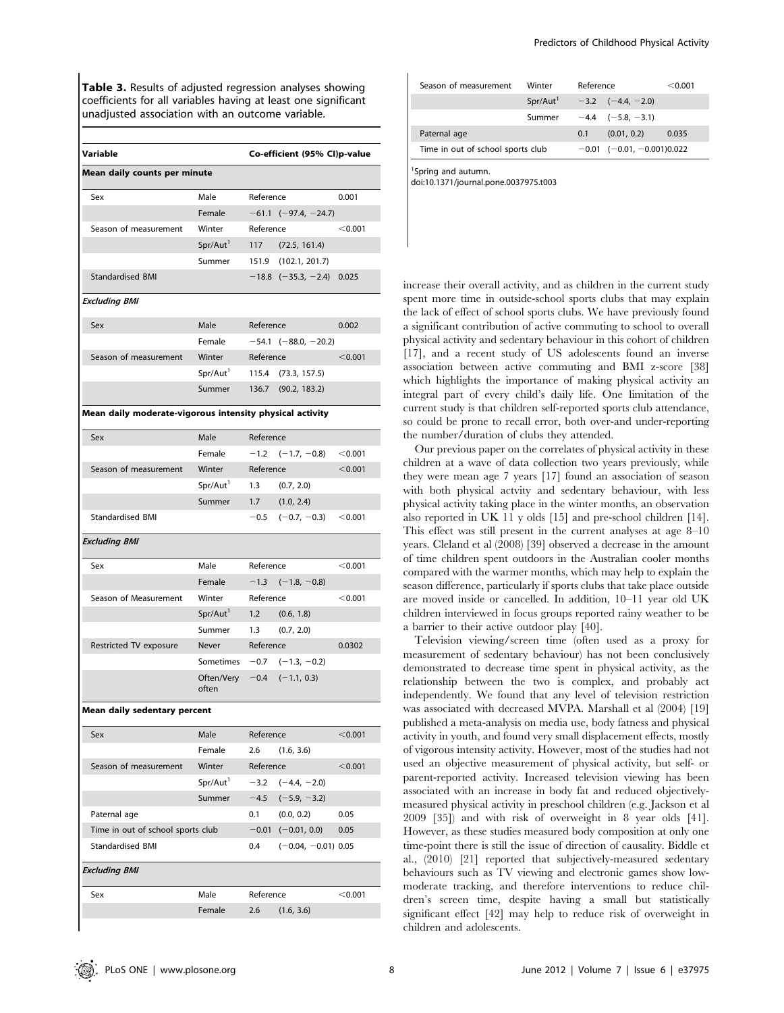Table 3. Results of adjusted regression analyses showing coefficients for all variables having at least one significant unadjusted association with an outcome variable.

| Variable                                                 |                        |                          | Co-efficient (95% CI)p-value            |         |  |  |  |  |  |
|----------------------------------------------------------|------------------------|--------------------------|-----------------------------------------|---------|--|--|--|--|--|
| Mean daily counts per minute                             |                        |                          |                                         |         |  |  |  |  |  |
| Sex                                                      | Male                   | Reference                |                                         | 0.001   |  |  |  |  |  |
|                                                          | Female                 | $-61.1$ $(-97.4, -24.7)$ |                                         |         |  |  |  |  |  |
| Season of measurement                                    | Winter                 | Reference                |                                         | < 0.001 |  |  |  |  |  |
|                                                          | Spr/Aut <sup>1</sup>   | 117                      | (72.5, 161.4)                           |         |  |  |  |  |  |
|                                                          | Summer                 |                          | 151.9 (102.1, 201.7)                    |         |  |  |  |  |  |
| <b>Standardised BMI</b>                                  |                        |                          | $-18.8$ (-35.3, -2.4) 0.025             |         |  |  |  |  |  |
| <b>Excluding BMI</b>                                     |                        |                          |                                         |         |  |  |  |  |  |
| Sex                                                      | Male                   | Reference                | 0.002                                   |         |  |  |  |  |  |
|                                                          | Female                 | $-54.1$ $(-88.0, -20.2)$ |                                         |         |  |  |  |  |  |
| Season of measurement                                    | Winter                 | Reference                |                                         | < 0.001 |  |  |  |  |  |
|                                                          | $Spr/Aut$ <sup>1</sup> |                          | 115.4 (73.3, 157.5)                     |         |  |  |  |  |  |
|                                                          | Summer                 | 136.7                    | (90.2, 183.2)                           |         |  |  |  |  |  |
| Mean daily moderate-vigorous intensity physical activity |                        |                          |                                         |         |  |  |  |  |  |
| Sex                                                      | Male                   | Reference                |                                         |         |  |  |  |  |  |
|                                                          | Female                 | $-1.2$                   | $(-1.7, -0.8)$                          | < 0.001 |  |  |  |  |  |
| Season of measurement                                    | Winter                 | Reference                |                                         | < 0.001 |  |  |  |  |  |
|                                                          | Spr/Aut <sup>1</sup>   | 1.3                      | (0.7, 2.0)                              |         |  |  |  |  |  |
|                                                          | Summer                 | 1.7                      | (1.0, 2.4)                              |         |  |  |  |  |  |
| <b>Standardised BMI</b>                                  |                        | $-0.5$                   | $(-0.7, -0.3)$                          | < 0.001 |  |  |  |  |  |
| <b>Excluding BMI</b>                                     |                        |                          |                                         |         |  |  |  |  |  |
| Sex                                                      | Male                   | Reference                |                                         | < 0.001 |  |  |  |  |  |
|                                                          | Female                 |                          | $-1.3$ $(-1.8, -0.8)$                   |         |  |  |  |  |  |
| Season of Measurement                                    | Winter                 | Reference                |                                         | < 0.001 |  |  |  |  |  |
|                                                          | Spr/Aut <sup>1</sup>   | 1.2                      | (0.6, 1.8)                              |         |  |  |  |  |  |
|                                                          | Summer                 | 1.3                      | (0.7, 2.0)                              |         |  |  |  |  |  |
| Restricted TV exposure                                   | Never                  | Reference                |                                         | 0.0302  |  |  |  |  |  |
|                                                          | Sometimes              |                          | $-0.7$ $(-1.3, -0.2)$                   |         |  |  |  |  |  |
|                                                          | Often/Very<br>often    |                          | $-0.4$ $(-1.1, 0.3)$                    |         |  |  |  |  |  |
| Mean daily sedentary percent                             |                        |                          |                                         |         |  |  |  |  |  |
| Sex                                                      | Male                   | Reference                |                                         | < 0.001 |  |  |  |  |  |
|                                                          | Female                 | 2.6<br>(1.6, 3.6)        |                                         |         |  |  |  |  |  |
| Season of measurement                                    | Winter                 |                          | Reference                               |         |  |  |  |  |  |
|                                                          | Spr/Aut <sup>1</sup>   | $-3.2$                   | $(-4.4, -2.0)$                          | < 0.001 |  |  |  |  |  |
|                                                          |                        | $-4.5$                   | $(-5.9, -3.2)$                          |         |  |  |  |  |  |
|                                                          | Summer                 |                          |                                         |         |  |  |  |  |  |
|                                                          |                        |                          |                                         |         |  |  |  |  |  |
| Paternal age                                             |                        | 0.1                      | (0.0, 0.2)                              | 0.05    |  |  |  |  |  |
| Time in out of school sports club<br>Standardised BMI    |                        | $-0.01$<br>0.4           | $(-0.01, 0.0)$<br>$(-0.04, -0.01)$ 0.05 | 0.05    |  |  |  |  |  |
| <b>Excluding BMI</b>                                     |                        |                          |                                         |         |  |  |  |  |  |
| Sex                                                      | Male                   | Reference                |                                         | < 0.001 |  |  |  |  |  |

| Season of measurement             | Winter               | Reference                      |                       | < 0.001 |
|-----------------------------------|----------------------|--------------------------------|-----------------------|---------|
|                                   | Spr/Aut <sup>1</sup> |                                | $-3.2$ $(-4.4, -2.0)$ |         |
|                                   | Summer               |                                | $-4.4$ $(-5.8, -3.1)$ |         |
| Paternal age                      |                      | 0.1                            | (0.01, 0.2)           | 0.035   |
| Time in out of school sports club |                      | $-0.01$ $(-0.01, -0.001)0.022$ |                       |         |
|                                   |                      |                                |                       |         |

1 Spring and autumn.

doi:10.1371/journal.pone.0037975.t003

increase their overall activity, and as children in the current study spent more time in outside-school sports clubs that may explain the lack of effect of school sports clubs. We have previously found a significant contribution of active commuting to school to overall physical activity and sedentary behaviour in this cohort of children [17], and a recent study of US adolescents found an inverse association between active commuting and BMI z-score [38] which highlights the importance of making physical activity an integral part of every child's daily life. One limitation of the current study is that children self-reported sports club attendance, so could be prone to recall error, both over-and under-reporting the number/duration of clubs they attended.

Our previous paper on the correlates of physical activity in these children at a wave of data collection two years previously, while they were mean age 7 years [17] found an association of season with both physical actvity and sedentary behaviour, with less physical activity taking place in the winter months, an observation also reported in UK 11 y olds [15] and pre-school children [14]. This effect was still present in the current analyses at age 8–10 years. Cleland et al (2008) [39] observed a decrease in the amount of time children spent outdoors in the Australian cooler months compared with the warmer months, which may help to explain the season difference, particularly if sports clubs that take place outside are moved inside or cancelled. In addition, 10–11 year old UK children interviewed in focus groups reported rainy weather to be a barrier to their active outdoor play [40].

Television viewing/screen time (often used as a proxy for measurement of sedentary behaviour) has not been conclusively demonstrated to decrease time spent in physical activity, as the relationship between the two is complex, and probably act independently. We found that any level of television restriction was associated with decreased MVPA. Marshall et al (2004) [19] published a meta-analysis on media use, body fatness and physical activity in youth, and found very small displacement effects, mostly of vigorous intensity activity. However, most of the studies had not used an objective measurement of physical activity, but self- or parent-reported activity. Increased television viewing has been associated with an increase in body fat and reduced objectivelymeasured physical activity in preschool children (e.g. Jackson et al 2009 [35]) and with risk of overweight in 8 year olds [41]. However, as these studies measured body composition at only one time-point there is still the issue of direction of causality. Biddle et al., (2010) [21] reported that subjectively-measured sedentary behaviours such as TV viewing and electronic games show lowmoderate tracking, and therefore interventions to reduce children's screen time, despite having a small but statistically significant effect [42] may help to reduce risk of overweight in children and adolescents.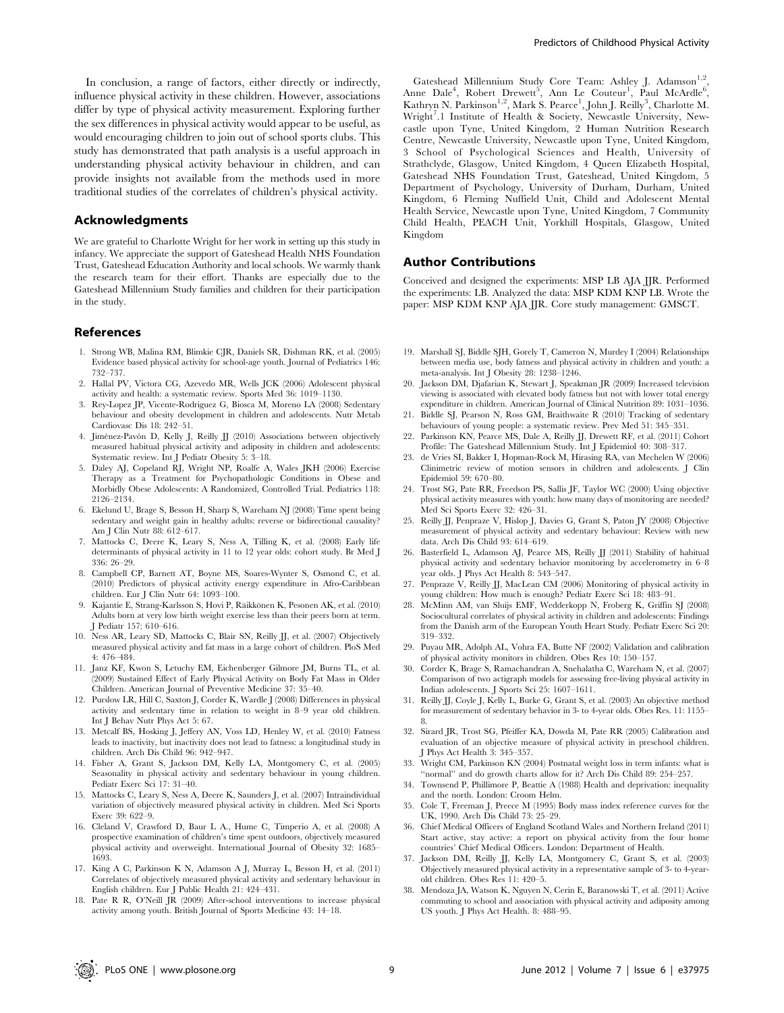In conclusion, a range of factors, either directly or indirectly, influence physical activity in these children. However, associations differ by type of physical activity measurement. Exploring further the sex differences in physical activity would appear to be useful, as would encouraging children to join out of school sports clubs. This study has demonstrated that path analysis is a useful approach in understanding physical activity behaviour in children, and can provide insights not available from the methods used in more traditional studies of the correlates of children's physical activity.

# Acknowledgments

We are grateful to Charlotte Wright for her work in setting up this study in infancy. We appreciate the support of Gateshead Health NHS Foundation Trust, Gateshead Education Authority and local schools. We warmly thank the research team for their effort. Thanks are especially due to the Gateshead Millennium Study families and children for their participation in the study.

## References

- 1. Strong WB, Malina RM, Blimkie CJR, Daniels SR, Dishman RK, et al. (2005) Evidence based physical activity for school-age youth. Journal of Pediatrics 146: 732–737.
- 2. Hallal PV, Victora CG, Azevedo MR, Wells JCK (2006) Adolescent physical activity and health: a systematic review. Sports Med 36: 1019–1130.
- 3. Rey-Lopez JP, Vicente-Rodriguez G, Biosca M, Moreno LA (2008) Sedentary behaviour and obesity development in children and adolescents. Nutr Metab Cardiovasc Dis 18: 242–51.
- 4. Jiménez-Pavón D, Kelly J, Reilly JJ (2010) Associations between objectively measured habitual physical activity and adiposity in children and adolescents: Systematic review. Int J Pediatr Obesity 5: 3–18.
- 5. Daley AJ, Copeland RJ, Wright NP, Roalfe A, Wales JKH (2006) Exercise Therapy as a Treatment for Psychopathologic Conditions in Obese and Morbidly Obese Adolescents: A Randomized, Controlled Trial. Pediatrics 118: 2126–2134.
- 6. Ekelund U, Brage S, Besson H, Sharp S, Wareham NJ (2008) Time spent being sedentary and weight gain in healthy adults: reverse or bidirectional causality? Am J Clin Nutr 88: 612–617.
- 7. Mattocks C, Deere K, Leary S, Ness A, Tilling K, et al. (2008) Early life determinants of physical activity in 11 to 12 year olds: cohort study. Br Med J 336: 26–29.
- 8. Campbell CP, Barnett AT, Boyne MS, Soares-Wynter S, Osmond C, et al. (2010) Predictors of physical activity energy expenditure in Afro-Caribbean children. Eur J Clin Nutr 64: 1093–100.
- 9. Kajantie E, Strang-Karlsson S, Hovi P, Räikkönen K, Pesonen AK, et al. (2010) Adults born at very low birth weight exercise less than their peers born at term. J Pediatr 157: 610–616.
- 10. Ness AR, Leary SD, Mattocks C, Blair SN, Reilly JJ, et al. (2007) Objectively measured physical activity and fat mass in a large cohort of children. PloS Med 4: 476–484.
- 11. Janz KF, Kwon S, Letuchy EM, Eichenberger Gilmore JM, Burns TL, et al. (2009) Sustained Effect of Early Physical Activity on Body Fat Mass in Older Children. American Journal of Preventive Medicine 37: 35–40.
- 12. Purslow LR, Hill C, Saxton J, Corder K, Wardle J (2008) Differences in physical activity and sedentary time in relation to weight in 8–9 year old children. Int J Behav Nutr Phys Act 5: 67.
- 13. Metcalf BS, Hosking J, Jeffery AN, Voss LD, Henley W, et al. (2010) Fatness leads to inactivity, but inactivity does not lead to fatness: a longitudinal study in children. Arch Dis Child 96: 942–947.
- 14. Fisher A, Grant S, Jackson DM, Kelly LA, Montgomery C, et al. (2005) Seasonality in physical activity and sedentary behaviour in young children. Pediatr Exerc Sci 17: 31–40.
- 15. Mattocks C, Leary S, Ness A, Deere K, Saunders J, et al. (2007) Intraindividual variation of objectively measured physical activity in children. Med Sci Sports Exerc 39: 622–9.
- 16. Cleland V, Crawford D, Baur L A., Hume C, Timperio A, et al. (2008) A prospective examination of children's time spent outdoors, objectively measured physical activity and overweight. International Journal of Obesity 32: 1685– 1693.
- 17. King A C, Parkinson K N, Adamson A J, Murray L, Besson H, et al. (2011) Correlates of objectively measured physical activity and sedentary behaviour in English children. Eur J Public Health 21: 424–431.
- 18. Pate R R, O'Neill JR (2009) After-school interventions to increase physical activity among youth. British Journal of Sports Medicine 43: 14–18.

Gateshead Millennium Study Core Team: Ashley J. Adamson<sup>1,2</sup>, Anne Dale<sup>4</sup>, Robert Drewett<sup>5</sup>, Ann Le Couteur<sup>1</sup>, Paul McArdle<sup>6</sup>, Kathryn N. Parkinson<sup>1,2</sup>, Mark S. Pearce<sup>1</sup>, John J. Reilly<sup>3</sup>, Charlotte M. Wright<sup>7</sup>.1 Institute of Health & Society, Newcastle University, Newcastle upon Tyne, United Kingdom, 2 Human Nutrition Research Centre, Newcastle University, Newcastle upon Tyne, United Kingdom, 3 School of Psychological Sciences and Health, University of Strathclyde, Glasgow, United Kingdom, 4 Queen Elizabeth Hospital, Gateshead NHS Foundation Trust, Gateshead, United Kingdom, 5 Department of Psychology, University of Durham, Durham, United Kingdom, 6 Fleming Nuffield Unit, Child and Adolescent Mental Health Service, Newcastle upon Tyne, United Kingdom, 7 Community Child Health, PEACH Unit, Yorkhill Hospitals, Glasgow, United Kingdom

## Author Contributions

Conceived and designed the experiments: MSP LB AJA JJR. Performed the experiments: LB. Analyzed the data: MSP KDM KNP LB. Wrote the paper: MSP KDM KNP AJA JJR. Core study management: GMSCT.

- 19. Marshall SJ, Biddle SJH, Gorely T, Cameron N, Murdey I (2004) Relationships between media use, body fatness and physical activity in children and youth: a meta-analysis. Int J Obesity 28: 1238–1246.
- 20. Jackson DM, Djafarian K, Stewart J, Speakman JR (2009) Increased television viewing is associated with elevated body fatness but not with lower total energy expenditure in children. American Journal of Clinical Nutrition 89: 1031–1036.
- 21. Biddle SJ, Pearson N, Ross GM, Braithwaite R (2010) Tracking of sedentary behaviours of young people: a systematic review. Prev Med 51: 345–351.
- 22. Parkinson KN, Pearce MS, Dale A, Reilly JJ, Drewett RF, et al. (2011) Cohort Profile: The Gateshead Millennium Study. Int J Epidemiol 40: 308–317.
- 23. de Vries SI, Bakker I, Hopman-Rock M, Hirasing RA, van Mechelen W (2006) Clinimetric review of motion sensors in children and adolescents. J Clin Epidemiol 59: 670–80.
- 24. Trost SG, Pate RR, Freedson PS, Sallis JF, Taylor WC (2000) Using objective physical activity measures with youth: how many days of monitoring are needed? Med Sci Sports Exerc 32: 426–31.
- 25. Reilly JJ, Penpraze V, Hislop J, Davies G, Grant S, Paton JY (2008) Objective measurement of physical activity and sedentary behaviour: Review with new data. Arch Dis Child 93: 614–619.
- 26. Basterfield L, Adamson AJ, Pearce MS, Reilly JJ (2011) Stability of habitual physical activity and sedentary behavior monitoring by accelerometry in 6–8 year olds. J Phys Act Health 8: 543–547.
- 27. Penpraze V, Reilly JJ, MacLean CM (2006) Monitoring of physical activity in young children: How much is enough? Pediatr Exerc Sci 18: 483–91.
- 28. McMinn AM, van Sluijs EMF, Wedderkopp N, Froberg K, Griffin SJ (2008) Sociocultural correlates of physical activity in children and adolescents: Findings from the Danish arm of the European Youth Heart Study. Pediatr Exerc Sci 20: 319–332.
- 29. Puyau MR, Adolph AL, Vohra FA, Butte NF (2002) Validation and calibration of physical activity monitors in children. Obes Res 10: 150–157.
- 30. Corder K, Brage S, Ramachandran A, Snehalatha C, Wareham N, et al. (2007) Comparison of two actigraph models for assessing free-living physical activity in Indian adolescents. J Sports Sci 25: 1607–1611.
- 31. Reilly JJ, Coyle J, Kelly L, Burke G, Grant S, et al. (2003) An objective method for measurement of sedentary behavior in 3- to 4-year olds. Obes Res. 11: 1155– 8.
- 32. Sirard JR, Trost SG, Pfeiffer KA, Dowda M, Pate RR (2005) Calibration and evaluation of an objective measure of physical activity in preschool children. J Phys Act Health 3: 345–357.
- 33. Wright CM, Parkinson KN (2004) Postnatal weight loss in term infants: what is "normal" and do growth charts allow for it? Arch Dis Child 89: 254–257.
- 34. Townsend P, Phillimore P, Beattie A (1988) Health and deprivation: inequality and the north. London: Croom Helm.
- 35. Cole T, Freeman J, Preece M (1995) Body mass index reference curves for the UK, 1990. Arch Dis Child 73: 25–29.
- 36. Chief Medical Officers of England Scotland Wales and Northern Ireland (2011) Start active, stay active: a report on physical activity from the four home countries' Chief Medical Officers. London: Department of Health.
- 37. Jackson DM, Reilly JJ, Kelly LA, Montgomery C, Grant S, et al. (2003) Objectively measured physical activity in a representative sample of 3- to 4-yearold children. Obes Res 11: 420–5.
- 38. Mendoza JA, Watson K, Nguyen N, Cerin E, Baranowski T, et al. (2011) Active commuting to school and association with physical activity and adiposity among US youth. J Phys Act Health. 8: 488–95.